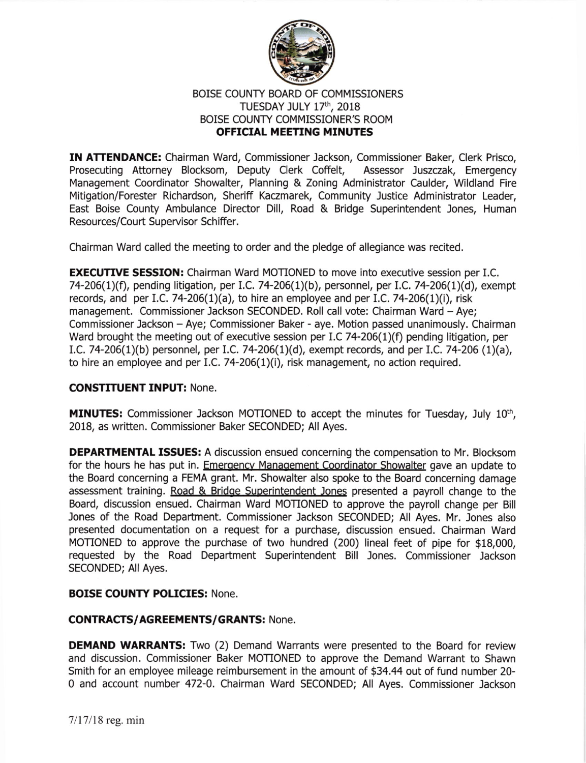

## BOISE COUNTY BOARD OF COMMISSIONERS TUESDAY JULY 17th, 2018 BOISE COUNTY COMMISSIONER'S ROOM OFFICIAL MEETING MINUTES

IN ATTENDANCE: Chairman Ward, Commissioner Jackson, Commissioner Baker, Clerk Prisco, Prosecuting Attorney Blocksom, Deputy Clerk Coffelt, Assessor )uszczak, Emergency Management Coordinator Showalter, Planning & Zoning Administrator Caulder, Wildland Fire Mitigation/Forester Richardson, Sheriff Kaczmarek, Community Justice Administrator Leader, East Boise County Ambulance Director Dill, Road & Bridge Superintendent Jones, Human Resources/Court Supervisor Schiffer.

Chairman Ward called the meeting to order and the pledge of allegiance was recited.

**EXECUTIVE SESSION:** Chairman Ward MOTIONED to move into executive session per I.C. 74-206(1)(f), pending litigation, per I.C. 74-206(1)(b), personnel, per I.C. 74-206(1)(d), exempt records, and per I.C. 74-206(1)(a), to hire an employee and per I.C. 74-206(1)(i), risk management. Commissioner Jackson SECONDED. Roll call vote: Chairman Ward - Aye; Commissioner Jackson - Aye; Commissioner Baker - aye. Motion passed unanimously. Chairman Ward brought the meeting out of executive session per I.C 74-206(1)(f) pending litigation, per I.C. 74-206(1)(b) personnel, per I.C. 74-206(1)(d), exempt records, and per I.C. 74-206 (1)(a), to hire an employee and per I.C. 74-206 $(1)(i)$ , risk management, no action required.

## CONSTITUENT INPUT: None.

**MINUTES:** Commissioner Jackson MOTIONED to accept the minutes for Tuesday, July  $10<sup>th</sup>$ , 2018, as written. Commissioner Baker SECONDED; All Ayes.

DEPARTMENTAL ISSUES: A discussion ensued concerning the compensation to Mr. Blocksom for the hours he has put in. Emergency Management Coordinator Showalter gave an update to the Board concerning a FEMA grant. Mr. Showalter also spoke to the Board concerning damage assessment training. Road & Bridoe Superintendent Jones presented a payroll change to the Board, discussion ensued. Chalrman Ward MOTIONED to approve the payroll change per Bill Jones of the Road Department. Commissioner Jackson SECONDED; All Ayes. Mr. lones also presented documentation on a request for a purchase, discussion ensued. Chairman Ward MOTIONED to approve the purchase of two hundred (200) lineal feet of pipe for \$18,000, requested by the Road Department Superintendent Bill Jones. Commissioner Jackson SECONDED; All Ayes.

## BOISE COUNTY POLICIES: None.

## CONTRACTS/AGREEMENTS/GRANTS: None.

**DEMAND WARRANTS:** Two (2) Demand Warrants were presented to the Board for review and discussion. Commissioner Baker MOTIONED to approve the Demand Warrant to Shawn Smith for an employee mileage reimbursement in the amount of \$34.44 out of fund number 20- 0 and account number 472-0. Chairman Ward SECONDED; All Ayes. Commissioner Jackson